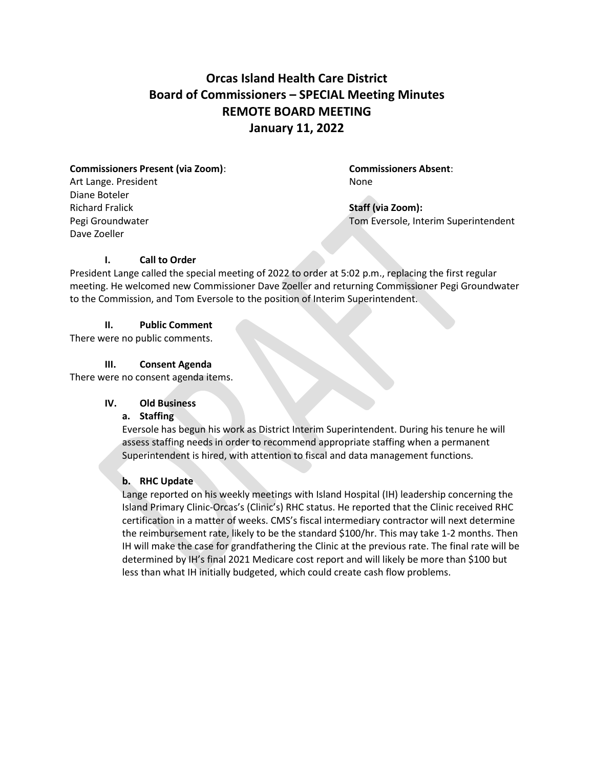# **Orcas Island Health Care District Board of Commissioners – SPECIAL Meeting Minutes REMOTE BOARD MEETING January 11, 2022**

# **Commissioners Present (via Zoom)**: **Commissioners Absent**: Art Lange. President None

Diane Boteler Richard Fralick **Staff (via Zoom):** Dave Zoeller

Pegi Groundwater **Tom Eversole, Interim Superintendent** 

# **I. Call to Order**

President Lange called the special meeting of 2022 to order at 5:02 p.m., replacing the first regular meeting. He welcomed new Commissioner Dave Zoeller and returning Commissioner Pegi Groundwater to the Commission, and Tom Eversole to the position of Interim Superintendent.

# **II. Public Comment**

There were no public comments.

# **III. Consent Agenda**

There were no consent agenda items.

# **IV. Old Business**

# **a. Staffing**

Eversole has begun his work as District Interim Superintendent. During his tenure he will assess staffing needs in order to recommend appropriate staffing when a permanent Superintendent is hired, with attention to fiscal and data management functions.

# **b. RHC Update**

Lange reported on his weekly meetings with Island Hospital (IH) leadership concerning the Island Primary Clinic-Orcas's (Clinic's) RHC status. He reported that the Clinic received RHC certification in a matter of weeks. CMS's fiscal intermediary contractor will next determine the reimbursement rate, likely to be the standard \$100/hr. This may take 1-2 months. Then IH will make the case for grandfathering the Clinic at the previous rate. The final rate will be determined by IH's final 2021 Medicare cost report and will likely be more than \$100 but less than what IH initially budgeted, which could create cash flow problems.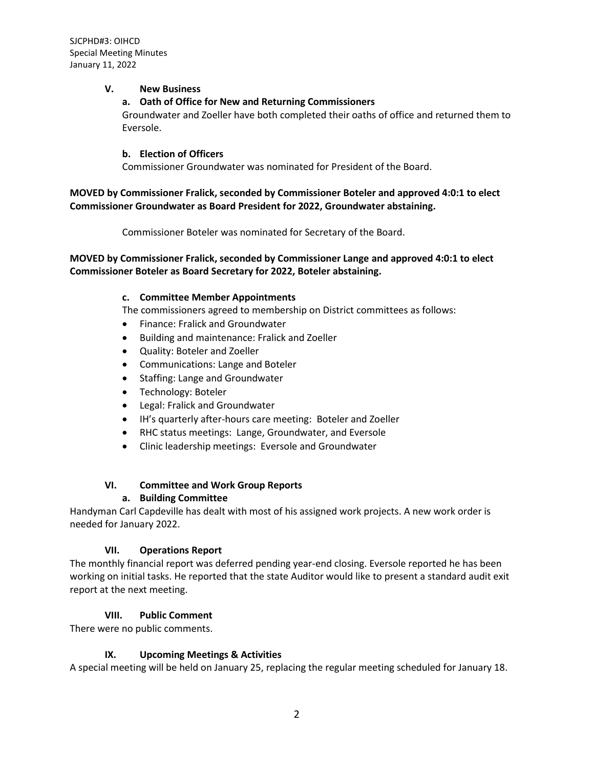#### **V. New Business**

## **a. Oath of Office for New and Returning Commissioners**

Groundwater and Zoeller have both completed their oaths of office and returned them to Eversole.

#### **b. Election of Officers**

Commissioner Groundwater was nominated for President of the Board.

## **MOVED by Commissioner Fralick, seconded by Commissioner Boteler and approved 4:0:1 to elect Commissioner Groundwater as Board President for 2022, Groundwater abstaining.**

Commissioner Boteler was nominated for Secretary of the Board.

## **MOVED by Commissioner Fralick, seconded by Commissioner Lange and approved 4:0:1 to elect Commissioner Boteler as Board Secretary for 2022, Boteler abstaining.**

#### **c. Committee Member Appointments**

The commissioners agreed to membership on District committees as follows:

- Finance: Fralick and Groundwater
- Building and maintenance: Fralick and Zoeller
- Quality: Boteler and Zoeller
- Communications: Lange and Boteler
- Staffing: Lange and Groundwater
- Technology: Boteler
- Legal: Fralick and Groundwater
- IH's quarterly after-hours care meeting: Boteler and Zoeller
- RHC status meetings: Lange, Groundwater, and Eversole
- Clinic leadership meetings: Eversole and Groundwater

## **VI. Committee and Work Group Reports**

## **a. Building Committee**

Handyman Carl Capdeville has dealt with most of his assigned work projects. A new work order is needed for January 2022.

## **VII. Operations Report**

The monthly financial report was deferred pending year-end closing. Eversole reported he has been working on initial tasks. He reported that the state Auditor would like to present a standard audit exit report at the next meeting.

## **VIII. Public Comment**

There were no public comments.

## **IX. Upcoming Meetings & Activities**

A special meeting will be held on January 25, replacing the regular meeting scheduled for January 18.